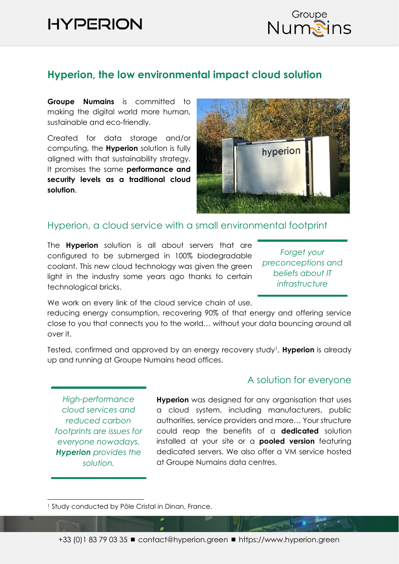# **HYPERION**



# **Hyperion, the low environmental impact cloud solution**

**Groupe Numains** is committed to making the digital world more human, sustainable and eco-friendly.

Created for data storage and/or computing, the **Hyperion** solution is fully aligned with that sustainability strategy. It promises the same **performance and security levels as a traditional cloud solution**.



#### Hyperion, a cloud service with a small environmental footprint

The **Hyperion** solution is all about servers that are configured to be submerged in 100% biodegradable coolant. This new cloud technology was given the green light in the industry some years ago thanks to certain technological bricks.

*Forget your preconceptions and beliefs about IT infrastructure*

We work on every link of the cloud service chain of use,

reducing energy consumption, recovering 90% of that energy and offering service close to you that connects you to the world… without your data bouncing around all over it.

Tested, confirmed and approved by an energy recovery study<sup>1</sup>, **Hyperion** is already up and running at Groupe Numains head offices.

*High-performance cloud services and reduced carbon footprints are issues for everyone nowadays. Hyperion provides the solution.*

#### A solution for everyone

**Hyperion** was designed for any organisation that uses a cloud system, including manufacturers, public authorities, service providers and more… Your structure could reap the benefits of a **dedicated** solution installed at your site or a **pooled version** featuring dedicated servers. We also offer a VM service hosted at Groupe Numains data centres.

<sup>&</sup>lt;sup>1</sup> Study conducted by Pôle Cristal in Dinan, France.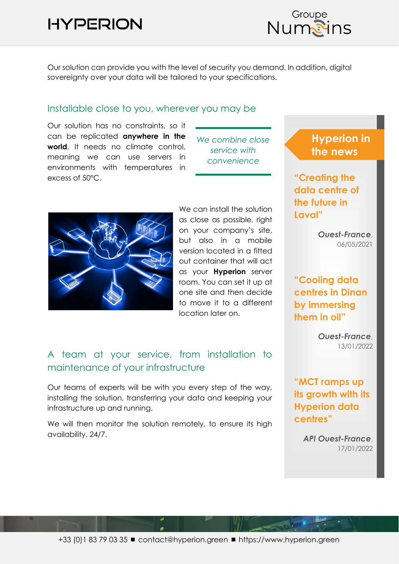# **HYPERION**



Our solution can provide you with the level of security you demand. In addition, digital sovereignty over your data will be tailored to your specifications.

#### Installable close to you, wherever you may be

Our solution has no constraints, so it can be replicated **anywhere in the world**. It needs no climate control, meaning we can use servers in environments with temperatures in excess of 50°C.





We can install the solution as close as possible, right on your company's site, but also in a mobile version located in a fitted out container that will act as your **Hyperion** server room. You can set it up at one site and then decide to move it to a different location later on.

## A team at your service, from installation to maintenance of your infrastructure

Our teams of experts will be with you every step of the way, installing the solution, transferring your data and keeping your infrastructure up and running.

We will then monitor the solution remotely, to ensure its high availability, 24/7.

# **Hyperion in the news**

**"Creating the data centre of the future in Laval"**

> *Ouest-France*, 06/05/2021

## **"Cooling data centres in Dinan by immersing them in oil"**

*Ouest-France*, 13/01/2022

**"MCT ramps up its growth with its Hyperion data centres"**

> *API Ouest-France*, 17/01/2022